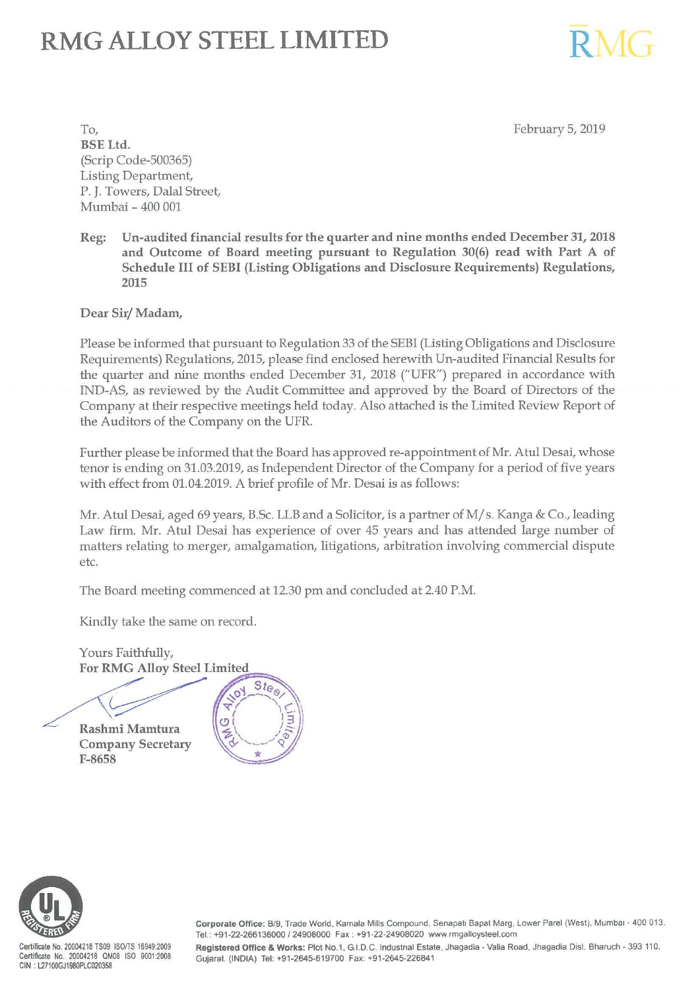# **RMG ALLOY STEEL LIMITED**

February 5, 2019

RMG

To, BSE Ltd. (Scrip Code-500365) Listing Department, P. J. Towers, Dalal Street, Mumbai - 400 001

Reg: Un-audited financial results for the quarter and nine months ended December 31, 2018 and Outcome of Board meeting pursuant to Regulation 30(6) read with Part A of Schedule III of SEBI (Listing Obligations and Disclosure Requirements) Regulations, 2015

Dear Sir/ Madam,

Please be informed that pursuant to Regulation 33 of the SEBI (Listing Obligations and Disclosure Requirements) Regulations, 2015, please find enclosed herewith Un-audited Financial Results for the quarter and nine months ended December 31, 2018 ("UFR") prepared in accordance with IND-AS, as reviewed by the Audit Committee and approved by the Board of Directors of the Company at their respective meetings held today. Also attached is the Limited Review Report of the Auditors of the Company on the UFR.

Further please be informed that the Board has approved re-appointment of Mr. Atul Desai, whose tenor is ending on 31.03.2019, as Independent Director of the Company for a period of five years with effect from 01.04.2019. A brief profile of Mr. Desai is as follows:

Mr. Atul Desai, aged 69 years, B.Sc. LLB and a Solicitor, is a partner of M/ s. Kanga & Co., leading Law firm. Mr. Atul Desai has experience of over 45 years and has attended large number of matters relating to merger, amalgamation, litigations, arbitration involving commercial dispute etc.

The Board meeting commenced at 12.30 pm and concluded at 2.40 P.M.

Kindly take the same on record.

Yours Faithfully, For RMG Alloy Steel Limited Yours Faithfully,<br>For RMG Alloy Steel Limited<br>Rashmi Mamtura

Company Secretary F-8658





Certificate No. 20004218 TS09 ISO/TS 16949:2009 Certificate No. 20004218 QM08 ISO 9001:2008 CIN : L27100GJ1980PLC020358

Corporate Office: B/9, Trade World, Kamala Mills Compound, Senapati Bapat Marg, Lower Parel (West). Mumbai - 400 013. Tel.: +91-22-266136000 /24908000 Fax: +91-22-24908020 www.rmgalloysteel.com

Registered Office & Works: Plot No.1. G.I.D.C. lndustnal Estate. Jhagadia- Valia Road, Jhagadia Dist. Bharuch · 393 110. Gujarat. (INDIA) Tel: +91-2645-619700 Fax: +91-2645-226841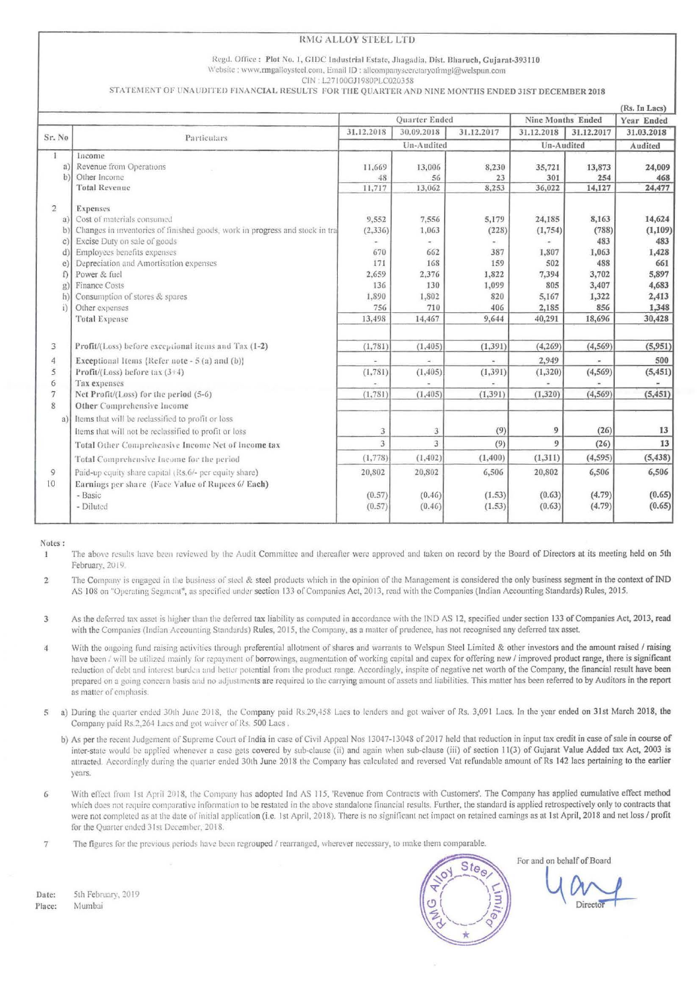### **RMG ALLOY STEEL LTD**

#### Regd. Office: Plot No. 1, GIDC Industrial Estate, Jhagadia, Dist. Bharuch, Gujarat-393110 Website : www.rmgalloysteel.com, Email ID : allcompanysecretaryofrmgl@welspun.com

CIN: L27100GJ1980PLC020358

STATEMENT OF UNAUDITED FINANCIAL RESULTS FOR THE QUARTER AND NINE MONTHS ENDED 31ST DECEMBER 2018

|                 |                                                                             |                |            |            |                   |            | (Rs. In Lacs) |
|-----------------|-----------------------------------------------------------------------------|----------------|------------|------------|-------------------|------------|---------------|
|                 |                                                                             | Quarter Ended  |            |            | Nine Months Ended |            | Year Ended    |
| Sr. No          | Particulars                                                                 | 31.12.2018     | 30.09.2018 | 31.12.2017 | 31.12.2018        | 31.12.2017 | 31.03.2018    |
|                 |                                                                             | Un-Audited     |            | Un-Audited |                   | Audited    |               |
| 1               | Income                                                                      |                |            |            |                   |            |               |
| a)              | Revenue from Operations                                                     | 11,669         | 13,006     | 8,230      | 35,721            | 13,873     | 24,009        |
| b)              | Other Income                                                                | 48             | 56         | 23         | 301               | 254        | 468           |
|                 | Total Revenue                                                               | 11,717         | 13,062     | 8,253      | 36,022            | 14,127     | 24,477        |
| $\overline{2}$  | Expenses                                                                    |                |            |            |                   |            |               |
| a               | Cost of materials consumed                                                  | 9,552          | 7,556      | 5,179      | 24,185            | 8,163      | 14,624        |
| b)              | Changes in inventories of finished goods, work in progress and stock in tra | (2, 336)       | 1,063      | (228)      | (1,754)           | (788)      | (1, 109)      |
| $\mathcal{C}$ ) | Excise Duty on sale of goods                                                |                |            |            |                   | 483        | 483           |
| ď               | Employees benefits expenses                                                 | 670            | 662        | 387        | 1,807             | 1,063      | 1,428         |
| e)              | Depreciation and Amortisation expenses                                      | 171            | 168        | 159        | 502               | 488        | 661           |
| f)              | Power & fuel                                                                | 2,659          | 2,376      | 1,822      | 7,394             | 3,702      | 5,897         |
| g)              | <b>Finance Costs</b>                                                        | 136            | 130        | 1,099      | 805               | 3,407      | 4,683         |
| h               | Consumption of stores & spares                                              | 1,890          | 1,802      | 820        | 5,167             | 1,322      | 2,413         |
| i)              | Other expenses                                                              | 756            | 710        | 406        | 2,185             | 856        | 1,348         |
|                 | <b>Total Expense</b>                                                        | 13,498         | 14,467     | 9,644      | 40,291            | 18,696     | 30,428        |
| 3               | Profit/(Loss) before exceptional items and Tax (1-2)                        | (1,781)        | (1, 405)   | (1, 391)   | (4, 269)          | (4, 569)   | (5,951)       |
| 4               | Exceptional Items {Refer note - 5 (a) and (b)}                              |                |            |            | 2,949             |            | 500           |
| 5               | Profit/(Loss) before tax $(3+4)$                                            | (1,781)        | (1, 405)   | (1, 391)   | (1,320)           | (4, 569)   | (5, 451)      |
| 6               | Tax expenses                                                                |                |            |            |                   |            |               |
| $7\phantom{.}$  | Net Profit/(Loss) for the period (5-6)                                      | (1,781)        | (1, 405)   | (1, 391)   | (1,320)           | (4, 569)   | (5, 451)      |
| 8               | Other Comprehensive Income                                                  |                |            |            |                   |            |               |
| a.              | Items that will be reclassified to profit or loss                           |                |            |            |                   |            |               |
|                 | Items that will not be reclassified to profit or loss                       | $\overline{3}$ | 3          | (9)        | 9                 | (26)       | 13            |
|                 | Total Other Comprehensive Income Net of Income tax                          | 3              | 3          | (9)        | $\theta$          | (26)       | 13            |
|                 | Total Comprehensive Income for the period                                   | (1,778)        | (1, 402)   | (1, 400)   | (1, 311)          | (4, 595)   | (5, 438)      |
| $\mathcal{G}$   | Paid-up equity share capital (Rs.6/- per equity share)                      | 20,802         | 20,802     | 6,506      | 20,802            | 6,506      | 6,506         |
| 10              | Earnings per share (Face Value of Rupees 6/ Each)                           |                |            |            |                   |            |               |
|                 | - Basic                                                                     | (0.57)         | (0.46)     | (1.53)     | (0.63)            | (4.79)     | (0.65)        |
|                 | - Diluted                                                                   | (0.57)         | (0.46)     | (1.53)     | (0.63)            | (4.79)     | (0.65)        |
|                 |                                                                             |                |            |            |                   |            |               |

Notes:

The above results have been reviewed by the Audit Committee and thereafter were approved and taken on record by the Board of Directors at its meeting held on 5th  $\mathbf{1}$ February, 2019.

The Company is engaged in the business of steel & steel products which in the opinion of the Management is considered the only business segment in the context of IND  $\overline{2}$ AS 108 on "Operating Segment", as specified under section 133 of Companies Act, 2013, read with the Companies (Indian Accounting Standards) Rules, 2015.

As the deferred tax asset is higher than the deferred tax liability as computed in accordance with the IND AS 12, specified under section 133 of Companies Act, 2013, read 3 with the Companies (Indian Accounting Standards) Rules, 2015, the Company, as a matter of prudence, has not recognised any deferred tax asset.

- With the ongoing fund raising activities through preferential allotment of shares and warrants to Welspun Steel Limited & other investors and the amount raised / raising  $\overline{4}$ have been / will be utilized mainly for repayment of borrowings, augmentation of working capital and capex for offering new / improved product range, there is significant reduction of debt and interest burden and better potential from the product range. Accordingly, inspite of negative net worth of the Company, the financial result have been prepared on a going concern basis and no adjustments are required to the carrying amount of assets and liabilities. This matter has been referred to by Auditors in the report as matter of emphasis.
- a) During the quarter ended 30th June 2018, the Company paid Rs.29,458 Lacs to lenders and got waiver of Rs. 3,091 Lacs. In the year ended on 31st March 2018, the 5 Company paid Rs.2,264 Lacs and got waiver of Rs. 500 Lacs.
	- b) As per the recent Judgement of Supreme Court of India in case of Civil Appeal Nos 13047-13048 of 2017 held that reduction in input tax credit in case of sale in course of inter-state would be applied whenever a case gets covered by sub-clause (ii) and again when sub-clause (iii) of section 11(3) of Gujarat Value Added tax Act, 2003 is attracted. Accordingly during the quarter ended 30th June 2018 the Company has calculated and reversed Vat refundable amount of Rs 142 lacs pertaining to the earlier vears.
- With effect from 1st April 2018, the Company has adopted Ind AS 115, 'Revenue from Contracts with Customers'. The Company has applied cumulative effect method 6 which does not require comparative information to be restated in the above standalone financial results. Further, the standard is applied retrospectively only to contracts that were not completed as at the date of initial application (i.e. 1st April, 2018). There is no significant net impact on retained earnings as at 1st April, 2018 and net loss / profit for the Quarter ended 31st December, 2018.
- The figures for the previous periods have been regrouped / rearranged, wherever necessary, to make them comparable.  $\overline{7}$



For and on behalf of Board

Date: 5th February, 2019 Place: Mumbai